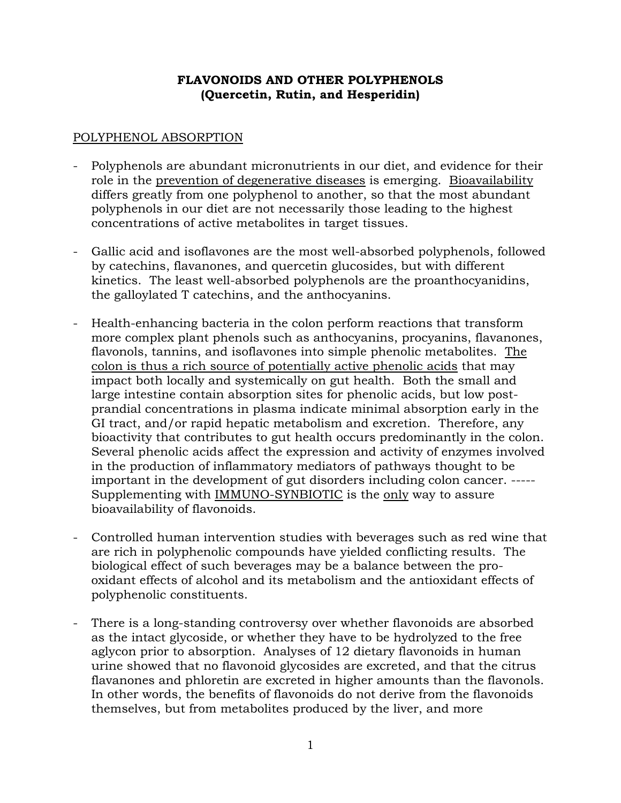## **FLAVONOIDS AND OTHER POLYPHENOLS (Quercetin, Rutin, and Hesperidin)**

## POLYPHENOL ABSORPTION

- Polyphenols are abundant micronutrients in our diet, and evidence for their role in the prevention of degenerative diseases is emerging. Bioavailability differs greatly from one polyphenol to another, so that the most abundant polyphenols in our diet are not necessarily those leading to the highest concentrations of active metabolites in target tissues.
- Gallic acid and isoflavones are the most well-absorbed polyphenols, followed by catechins, flavanones, and quercetin glucosides, but with different kinetics. The least well-absorbed polyphenols are the proanthocyanidins, the galloylated T catechins, and the anthocyanins.
- Health-enhancing bacteria in the colon perform reactions that transform more complex plant phenols such as anthocyanins, procyanins, flavanones, flavonols, tannins, and isoflavones into simple phenolic metabolites. The colon is thus a rich source of potentially active phenolic acids that may impact both locally and systemically on gut health. Both the small and large intestine contain absorption sites for phenolic acids, but low postprandial concentrations in plasma indicate minimal absorption early in the GI tract, and/or rapid hepatic metabolism and excretion. Therefore, any bioactivity that contributes to gut health occurs predominantly in the colon. Several phenolic acids affect the expression and activity of enzymes involved in the production of inflammatory mediators of pathways thought to be important in the development of gut disorders including colon cancer. ----- Supplementing with IMMUNO-SYNBIOTIC is the only way to assure bioavailability of flavonoids.
- Controlled human intervention studies with beverages such as red wine that are rich in polyphenolic compounds have yielded conflicting results. The biological effect of such beverages may be a balance between the prooxidant effects of alcohol and its metabolism and the antioxidant effects of polyphenolic constituents.
- There is a long-standing controversy over whether flavonoids are absorbed as the intact glycoside, or whether they have to be hydrolyzed to the free aglycon prior to absorption. Analyses of 12 dietary flavonoids in human urine showed that no flavonoid glycosides are excreted, and that the citrus flavanones and phloretin are excreted in higher amounts than the flavonols. In other words, the benefits of flavonoids do not derive from the flavonoids themselves, but from metabolites produced by the liver, and more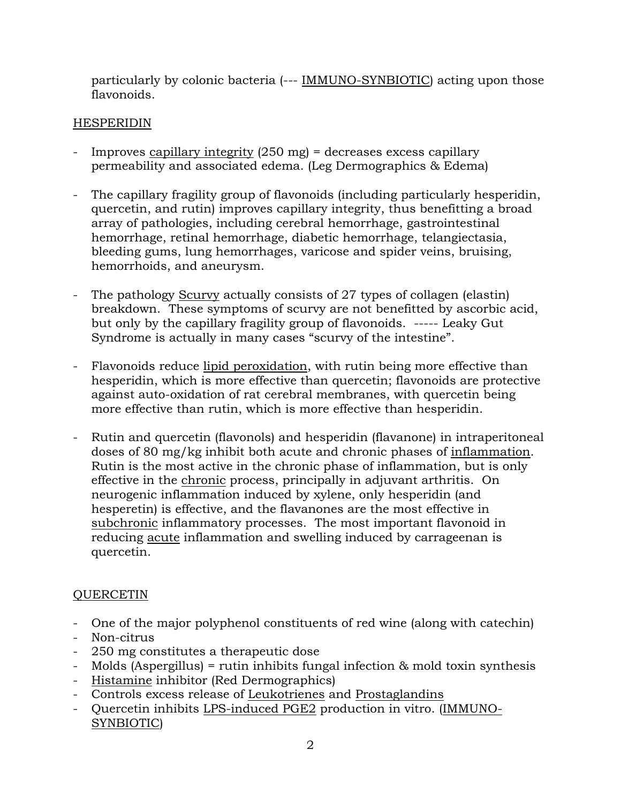particularly by colonic bacteria (--- IMMUNO-SYNBIOTIC) acting upon those flavonoids.

# HESPERIDIN

- Improves capillary integrity (250 mg) = decreases excess capillary permeability and associated edema. (Leg Dermographics & Edema)
- The capillary fragility group of flavonoids (including particularly hesperidin, quercetin, and rutin) improves capillary integrity, thus benefitting a broad array of pathologies, including cerebral hemorrhage, gastrointestinal hemorrhage, retinal hemorrhage, diabetic hemorrhage, telangiectasia, bleeding gums, lung hemorrhages, varicose and spider veins, bruising, hemorrhoids, and aneurysm.
- The pathology Scurvy actually consists of 27 types of collagen (elastin) breakdown. These symptoms of scurvy are not benefitted by ascorbic acid, but only by the capillary fragility group of flavonoids. ----- Leaky Gut Syndrome is actually in many cases "scurvy of the intestine".
- Flavonoids reduce lipid peroxidation, with rutin being more effective than hesperidin, which is more effective than quercetin; flavonoids are protective against auto-oxidation of rat cerebral membranes, with quercetin being more effective than rutin, which is more effective than hesperidin.
- Rutin and quercetin (flavonols) and hesperidin (flavanone) in intraperitoneal doses of 80 mg/kg inhibit both acute and chronic phases of inflammation. Rutin is the most active in the chronic phase of inflammation, but is only effective in the chronic process, principally in adjuvant arthritis. On neurogenic inflammation induced by xylene, only hesperidin (and hesperetin) is effective, and the flavanones are the most effective in subchronic inflammatory processes. The most important flavonoid in reducing acute inflammation and swelling induced by carrageenan is quercetin.

# QUERCETIN

- One of the major polyphenol constituents of red wine (along with catechin)
- Non-citrus
- 250 mg constitutes a therapeutic dose
- Molds (Aspergillus) = rutin inhibits fungal infection & mold toxin synthesis
- Histamine inhibitor (Red Dermographics)
- Controls excess release of Leukotrienes and Prostaglandins
- Quercetin inhibits LPS-induced PGE2 production in vitro. (IMMUNO-SYNBIOTIC)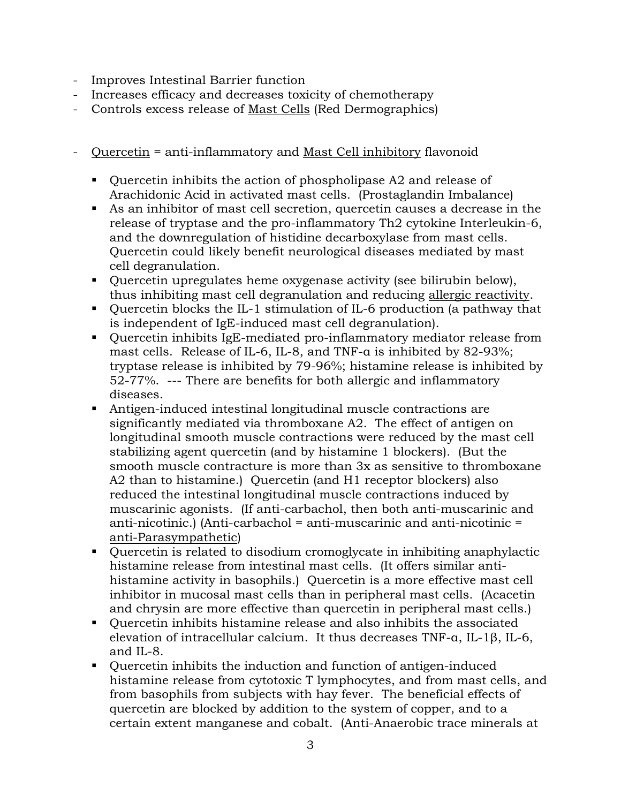- Improves Intestinal Barrier function
- Increases efficacy and decreases toxicity of chemotherapy
- Controls excess release of Mast Cells (Red Dermographics)
- Quercetin = anti-inflammatory and Mast Cell inhibitory flavonoid
	- Quercetin inhibits the action of phospholipase A2 and release of Arachidonic Acid in activated mast cells. (Prostaglandin Imbalance)
	- As an inhibitor of mast cell secretion, quercetin causes a decrease in the release of tryptase and the pro-inflammatory Th2 cytokine Interleukin-6, and the downregulation of histidine decarboxylase from mast cells. Quercetin could likely benefit neurological diseases mediated by mast cell degranulation.
	- Quercetin upregulates heme oxygenase activity (see bilirubin below), thus inhibiting mast cell degranulation and reducing allergic reactivity.
	- Quercetin blocks the IL-1 stimulation of IL-6 production (a pathway that is independent of IgE-induced mast cell degranulation).
	- Quercetin inhibits IgE-mediated pro-inflammatory mediator release from mast cells. Release of IL-6, IL-8, and TNF-α is inhibited by 82-93%; tryptase release is inhibited by 79-96%; histamine release is inhibited by 52-77%. --- There are benefits for both allergic and inflammatory diseases.
	- Antigen-induced intestinal longitudinal muscle contractions are significantly mediated via thromboxane A2. The effect of antigen on longitudinal smooth muscle contractions were reduced by the mast cell stabilizing agent quercetin (and by histamine 1 blockers). (But the smooth muscle contracture is more than 3x as sensitive to thromboxane A2 than to histamine.) Quercetin (and H1 receptor blockers) also reduced the intestinal longitudinal muscle contractions induced by muscarinic agonists. (If anti-carbachol, then both anti-muscarinic and anti-nicotinic.) (Anti-carbachol = anti-muscarinic and anti-nicotinic = anti-Parasympathetic)
	- Quercetin is related to disodium cromoglycate in inhibiting anaphylactic histamine release from intestinal mast cells. (It offers similar antihistamine activity in basophils.) Quercetin is a more effective mast cell inhibitor in mucosal mast cells than in peripheral mast cells. (Acacetin and chrysin are more effective than quercetin in peripheral mast cells.)
	- Quercetin inhibits histamine release and also inhibits the associated elevation of intracellular calcium. It thus decreases TNF-α, IL-1β, IL-6, and IL-8.
	- Quercetin inhibits the induction and function of antigen-induced histamine release from cytotoxic T lymphocytes, and from mast cells, and from basophils from subjects with hay fever. The beneficial effects of quercetin are blocked by addition to the system of copper, and to a certain extent manganese and cobalt. (Anti-Anaerobic trace minerals at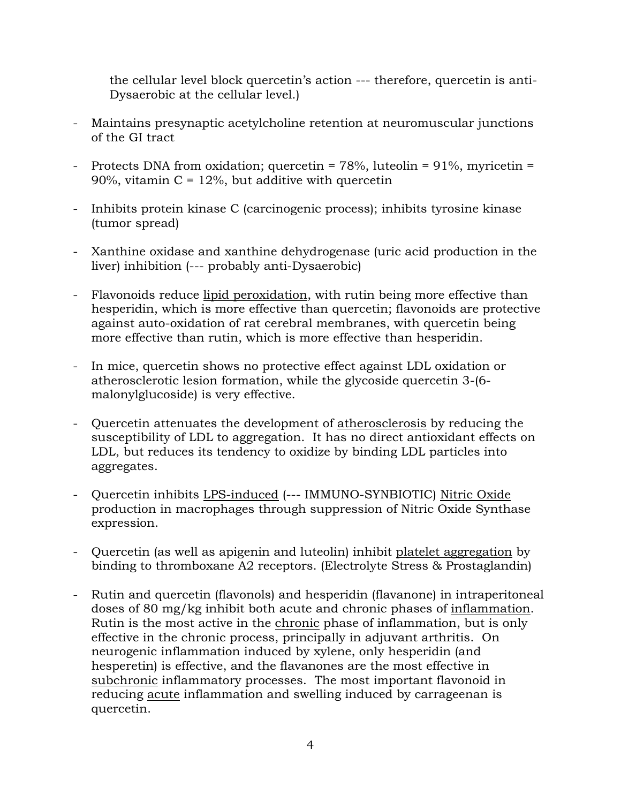the cellular level block quercetin's action --- therefore, quercetin is anti-Dysaerobic at the cellular level.)

- Maintains presynaptic acetylcholine retention at neuromuscular junctions of the GI tract
- Protects DNA from oxidation; quercetin = 78%, luteolin = 91%, myricetin = 90%, vitamin  $C = 12\%$ , but additive with quercetin
- Inhibits protein kinase C (carcinogenic process); inhibits tyrosine kinase (tumor spread)
- Xanthine oxidase and xanthine dehydrogenase (uric acid production in the liver) inhibition (--- probably anti-Dysaerobic)
- Flavonoids reduce lipid peroxidation, with rutin being more effective than hesperidin, which is more effective than quercetin; flavonoids are protective against auto-oxidation of rat cerebral membranes, with quercetin being more effective than rutin, which is more effective than hesperidin.
- In mice, quercetin shows no protective effect against LDL oxidation or atherosclerotic lesion formation, while the glycoside quercetin 3-(6 malonylglucoside) is very effective.
- Quercetin attenuates the development of atherosclerosis by reducing the susceptibility of LDL to aggregation. It has no direct antioxidant effects on LDL, but reduces its tendency to oxidize by binding LDL particles into aggregates.
- Quercetin inhibits LPS-induced (--- IMMUNO-SYNBIOTIC) Nitric Oxide production in macrophages through suppression of Nitric Oxide Synthase expression.
- Quercetin (as well as apigenin and luteolin) inhibit platelet aggregation by binding to thromboxane A2 receptors. (Electrolyte Stress & Prostaglandin)
- Rutin and quercetin (flavonols) and hesperidin (flavanone) in intraperitoneal doses of 80 mg/kg inhibit both acute and chronic phases of inflammation. Rutin is the most active in the chronic phase of inflammation, but is only effective in the chronic process, principally in adjuvant arthritis. On neurogenic inflammation induced by xylene, only hesperidin (and hesperetin) is effective, and the flavanones are the most effective in subchronic inflammatory processes. The most important flavonoid in reducing acute inflammation and swelling induced by carrageenan is quercetin.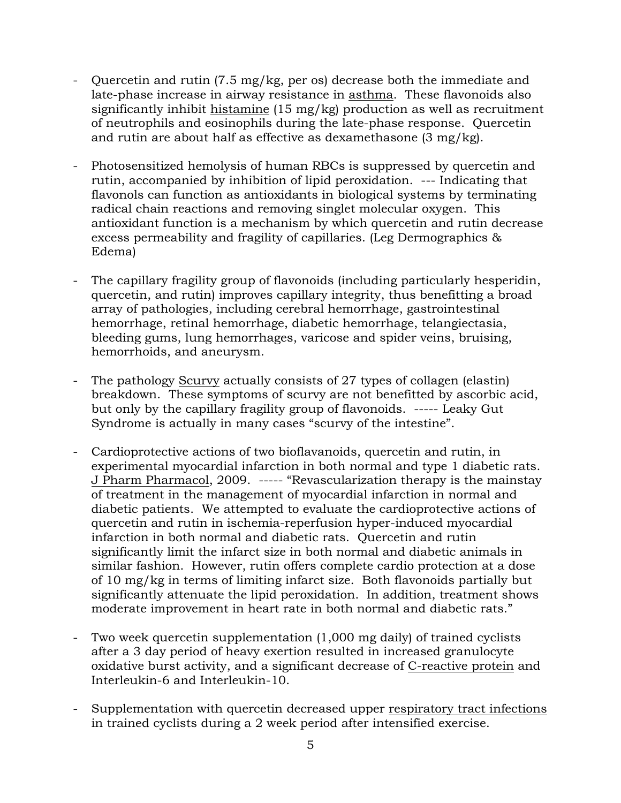- Quercetin and rutin (7.5 mg/kg, per os) decrease both the immediate and late-phase increase in airway resistance in asthma. These flavonoids also significantly inhibit histamine (15 mg/kg) production as well as recruitment of neutrophils and eosinophils during the late-phase response. Quercetin and rutin are about half as effective as dexamethasone (3 mg/kg).
- Photosensitized hemolysis of human RBCs is suppressed by quercetin and rutin, accompanied by inhibition of lipid peroxidation. --- Indicating that flavonols can function as antioxidants in biological systems by terminating radical chain reactions and removing singlet molecular oxygen. This antioxidant function is a mechanism by which quercetin and rutin decrease excess permeability and fragility of capillaries. (Leg Dermographics & Edema)
- The capillary fragility group of flavonoids (including particularly hesperidin, quercetin, and rutin) improves capillary integrity, thus benefitting a broad array of pathologies, including cerebral hemorrhage, gastrointestinal hemorrhage, retinal hemorrhage, diabetic hemorrhage, telangiectasia, bleeding gums, lung hemorrhages, varicose and spider veins, bruising, hemorrhoids, and aneurysm.
- The pathology Scurvy actually consists of 27 types of collagen (elastin) breakdown. These symptoms of scurvy are not benefitted by ascorbic acid, but only by the capillary fragility group of flavonoids. ----- Leaky Gut Syndrome is actually in many cases "scurvy of the intestine".
- Cardioprotective actions of two bioflavanoids, quercetin and rutin, in experimental myocardial infarction in both normal and type 1 diabetic rats. J Pharm Pharmacol, 2009. ----- "Revascularization therapy is the mainstay of treatment in the management of myocardial infarction in normal and diabetic patients. We attempted to evaluate the cardioprotective actions of quercetin and rutin in ischemia-reperfusion hyper-induced myocardial infarction in both normal and diabetic rats. Quercetin and rutin significantly limit the infarct size in both normal and diabetic animals in similar fashion. However, rutin offers complete cardio protection at a dose of 10 mg/kg in terms of limiting infarct size. Both flavonoids partially but significantly attenuate the lipid peroxidation. In addition, treatment shows moderate improvement in heart rate in both normal and diabetic rats."
- Two week quercetin supplementation (1,000 mg daily) of trained cyclists after a 3 day period of heavy exertion resulted in increased granulocyte oxidative burst activity, and a significant decrease of C-reactive protein and Interleukin-6 and Interleukin-10.
- Supplementation with quercetin decreased upper respiratory tract infections in trained cyclists during a 2 week period after intensified exercise.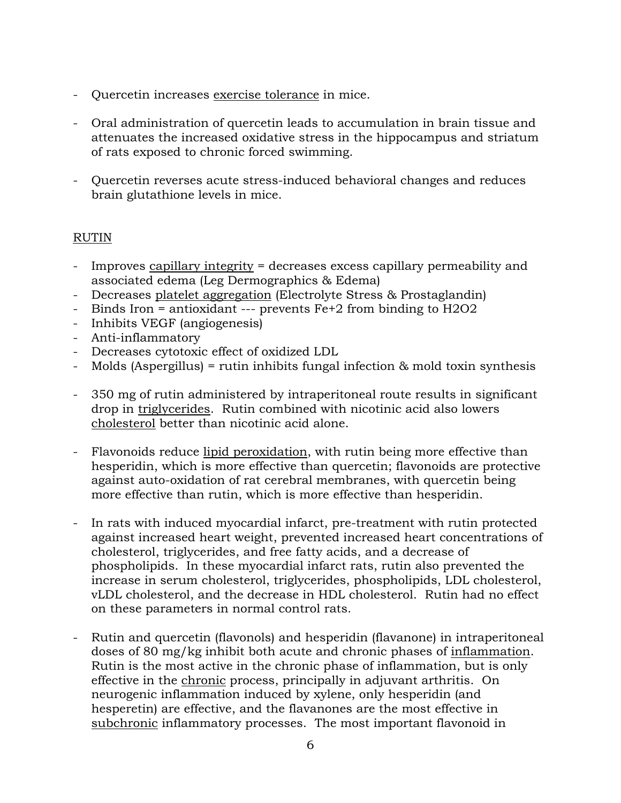- Quercetin increases exercise tolerance in mice.
- Oral administration of quercetin leads to accumulation in brain tissue and attenuates the increased oxidative stress in the hippocampus and striatum of rats exposed to chronic forced swimming.
- Quercetin reverses acute stress-induced behavioral changes and reduces brain glutathione levels in mice.

#### RUTIN

- Improves capillary integrity = decreases excess capillary permeability and associated edema (Leg Dermographics & Edema)
- Decreases platelet aggregation (Electrolyte Stress & Prostaglandin)
- Binds Iron = antioxidant --- prevents Fe+2 from binding to H2O2
- Inhibits VEGF (angiogenesis)
- Anti-inflammatory
- Decreases cytotoxic effect of oxidized LDL
- Molds (Aspergillus) = rutin inhibits fungal infection & mold toxin synthesis
- 350 mg of rutin administered by intraperitoneal route results in significant drop in triglycerides. Rutin combined with nicotinic acid also lowers cholesterol better than nicotinic acid alone.
- Flavonoids reduce lipid peroxidation, with rutin being more effective than hesperidin, which is more effective than quercetin; flavonoids are protective against auto-oxidation of rat cerebral membranes, with quercetin being more effective than rutin, which is more effective than hesperidin.
- In rats with induced myocardial infarct, pre-treatment with rutin protected against increased heart weight, prevented increased heart concentrations of cholesterol, triglycerides, and free fatty acids, and a decrease of phospholipids. In these myocardial infarct rats, rutin also prevented the increase in serum cholesterol, triglycerides, phospholipids, LDL cholesterol, vLDL cholesterol, and the decrease in HDL cholesterol. Rutin had no effect on these parameters in normal control rats.
- Rutin and quercetin (flavonols) and hesperidin (flavanone) in intraperitoneal doses of 80 mg/kg inhibit both acute and chronic phases of inflammation. Rutin is the most active in the chronic phase of inflammation, but is only effective in the chronic process, principally in adjuvant arthritis. On neurogenic inflammation induced by xylene, only hesperidin (and hesperetin) are effective, and the flavanones are the most effective in subchronic inflammatory processes. The most important flavonoid in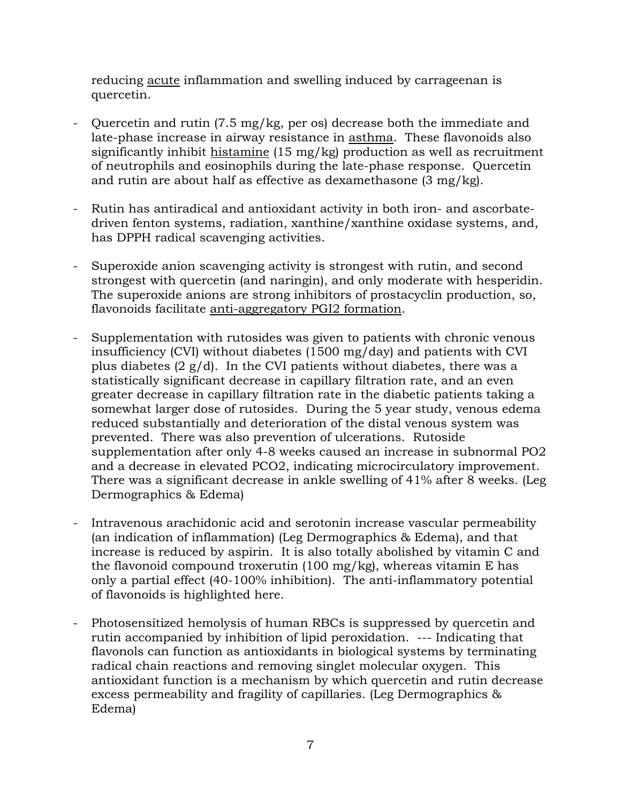reducing acute inflammation and swelling induced by carrageenan is quercetin.

- Quercetin and rutin (7.5 mg/kg, per os) decrease both the immediate and late-phase increase in airway resistance in asthma. These flavonoids also significantly inhibit histamine (15 mg/kg) production as well as recruitment of neutrophils and eosinophils during the late-phase response. Quercetin and rutin are about half as effective as dexamethasone (3 mg/kg).
- Rutin has antiradical and antioxidant activity in both iron- and ascorbatedriven fenton systems, radiation, xanthine/xanthine oxidase systems, and, has DPPH radical scavenging activities.
- Superoxide anion scavenging activity is strongest with rutin, and second strongest with quercetin (and naringin), and only moderate with hesperidin. The superoxide anions are strong inhibitors of prostacyclin production, so, flavonoids facilitate anti-aggregatory PGI2 formation.
- Supplementation with rutosides was given to patients with chronic venous insufficiency (CVI) without diabetes (1500 mg/day) and patients with CVI plus diabetes  $(2 g/d)$ . In the CVI patients without diabetes, there was a statistically significant decrease in capillary filtration rate, and an even greater decrease in capillary filtration rate in the diabetic patients taking a somewhat larger dose of rutosides. During the 5 year study, venous edema reduced substantially and deterioration of the distal venous system was prevented. There was also prevention of ulcerations. Rutoside supplementation after only 4-8 weeks caused an increase in subnormal PO2 and a decrease in elevated PCO2, indicating microcirculatory improvement. There was a significant decrease in ankle swelling of 41% after 8 weeks. (Leg Dermographics & Edema)
- Intravenous arachidonic acid and serotonin increase vascular permeability (an indication of inflammation) (Leg Dermographics & Edema), and that increase is reduced by aspirin. It is also totally abolished by vitamin C and the flavonoid compound troxerutin (100 mg/kg), whereas vitamin E has only a partial effect (40-100% inhibition). The anti-inflammatory potential of flavonoids is highlighted here.
- Photosensitized hemolysis of human RBCs is suppressed by quercetin and rutin accompanied by inhibition of lipid peroxidation. --- Indicating that flavonols can function as antioxidants in biological systems by terminating radical chain reactions and removing singlet molecular oxygen. This antioxidant function is a mechanism by which quercetin and rutin decrease excess permeability and fragility of capillaries. (Leg Dermographics & Edema)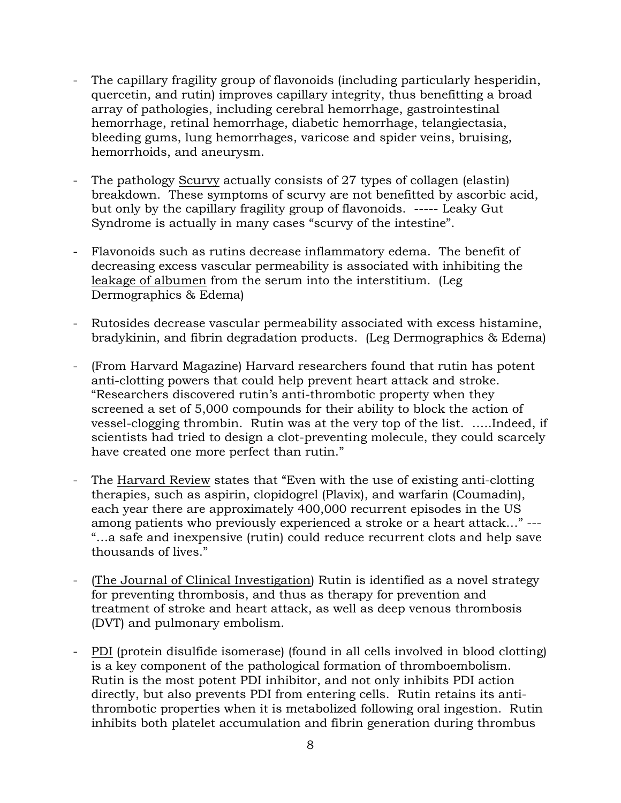- The capillary fragility group of flavonoids (including particularly hesperidin, quercetin, and rutin) improves capillary integrity, thus benefitting a broad array of pathologies, including cerebral hemorrhage, gastrointestinal hemorrhage, retinal hemorrhage, diabetic hemorrhage, telangiectasia, bleeding gums, lung hemorrhages, varicose and spider veins, bruising, hemorrhoids, and aneurysm.
- The pathology Scurvy actually consists of 27 types of collagen (elastin) breakdown. These symptoms of scurvy are not benefitted by ascorbic acid, but only by the capillary fragility group of flavonoids. ----- Leaky Gut Syndrome is actually in many cases "scurvy of the intestine".
- Flavonoids such as rutins decrease inflammatory edema. The benefit of decreasing excess vascular permeability is associated with inhibiting the leakage of albumen from the serum into the interstitium. (Leg Dermographics & Edema)
- Rutosides decrease vascular permeability associated with excess histamine, bradykinin, and fibrin degradation products. (Leg Dermographics & Edema)
- (From Harvard Magazine) Harvard researchers found that rutin has potent anti-clotting powers that could help prevent heart attack and stroke. "Researchers discovered rutin's anti-thrombotic property when they screened a set of 5,000 compounds for their ability to block the action of vessel-clogging thrombin. Rutin was at the very top of the list. …..Indeed, if scientists had tried to design a clot-preventing molecule, they could scarcely have created one more perfect than rutin."
- The Harvard Review states that "Even with the use of existing anti-clotting" therapies, such as aspirin, clopidogrel (Plavix), and warfarin (Coumadin), each year there are approximately 400,000 recurrent episodes in the US among patients who previously experienced a stroke or a heart attack…" --- "…a safe and inexpensive (rutin) could reduce recurrent clots and help save thousands of lives."
- (The Journal of Clinical Investigation) Rutin is identified as a novel strategy for preventing thrombosis, and thus as therapy for prevention and treatment of stroke and heart attack, as well as deep venous thrombosis (DVT) and pulmonary embolism.
- PDI (protein disulfide isomerase) (found in all cells involved in blood clotting) is a key component of the pathological formation of thromboembolism. Rutin is the most potent PDI inhibitor, and not only inhibits PDI action directly, but also prevents PDI from entering cells. Rutin retains its antithrombotic properties when it is metabolized following oral ingestion. Rutin inhibits both platelet accumulation and fibrin generation during thrombus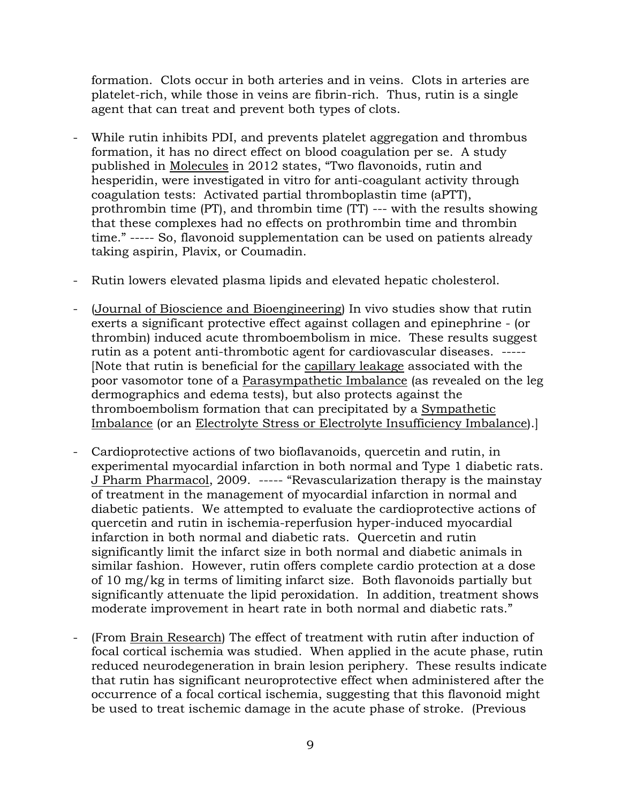formation. Clots occur in both arteries and in veins. Clots in arteries are platelet-rich, while those in veins are fibrin-rich. Thus, rutin is a single agent that can treat and prevent both types of clots.

- While rutin inhibits PDI, and prevents platelet aggregation and thrombus formation, it has no direct effect on blood coagulation per se. A study published in Molecules in 2012 states, "Two flavonoids, rutin and hesperidin, were investigated in vitro for anti-coagulant activity through coagulation tests: Activated partial thromboplastin time (aPTT), prothrombin time (PT), and thrombin time (TT) --- with the results showing that these complexes had no effects on prothrombin time and thrombin time." ----- So, flavonoid supplementation can be used on patients already taking aspirin, Plavix, or Coumadin.
- Rutin lowers elevated plasma lipids and elevated hepatic cholesterol.
- (Journal of Bioscience and Bioengineering) In vivo studies show that rutin exerts a significant protective effect against collagen and epinephrine - (or thrombin) induced acute thromboembolism in mice. These results suggest rutin as a potent anti-thrombotic agent for cardiovascular diseases. ----- [Note that rutin is beneficial for the capillary leakage associated with the poor vasomotor tone of a Parasympathetic Imbalance (as revealed on the leg dermographics and edema tests), but also protects against the thromboembolism formation that can precipitated by a Sympathetic Imbalance (or an Electrolyte Stress or Electrolyte Insufficiency Imbalance).]
- Cardioprotective actions of two bioflavanoids, quercetin and rutin, in experimental myocardial infarction in both normal and Type 1 diabetic rats. J Pharm Pharmacol, 2009. ----- "Revascularization therapy is the mainstay of treatment in the management of myocardial infarction in normal and diabetic patients. We attempted to evaluate the cardioprotective actions of quercetin and rutin in ischemia-reperfusion hyper-induced myocardial infarction in both normal and diabetic rats. Quercetin and rutin significantly limit the infarct size in both normal and diabetic animals in similar fashion. However, rutin offers complete cardio protection at a dose of 10 mg/kg in terms of limiting infarct size. Both flavonoids partially but significantly attenuate the lipid peroxidation. In addition, treatment shows moderate improvement in heart rate in both normal and diabetic rats."
- (From Brain Research) The effect of treatment with rutin after induction of focal cortical ischemia was studied. When applied in the acute phase, rutin reduced neurodegeneration in brain lesion periphery. These results indicate that rutin has significant neuroprotective effect when administered after the occurrence of a focal cortical ischemia, suggesting that this flavonoid might be used to treat ischemic damage in the acute phase of stroke. (Previous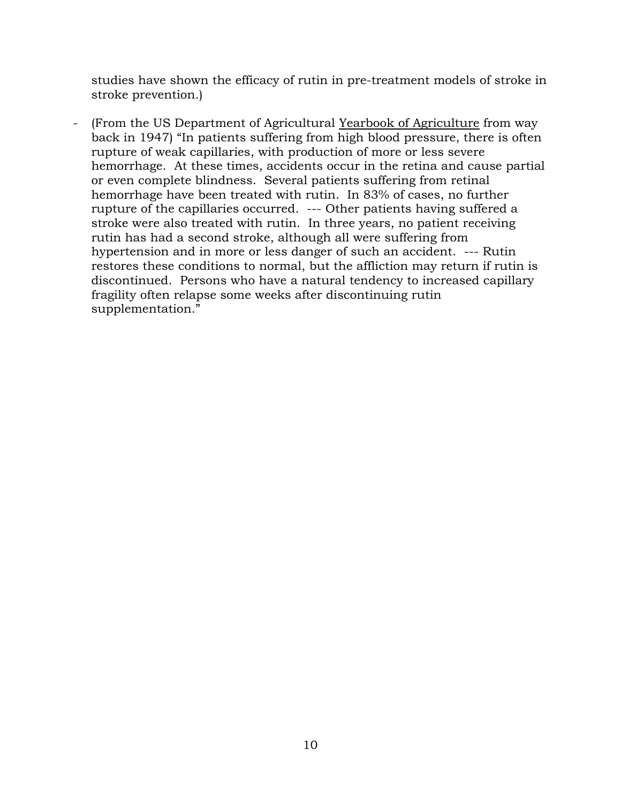studies have shown the efficacy of rutin in pre-treatment models of stroke in stroke prevention.)

- (From the US Department of Agricultural Yearbook of Agriculture from way back in 1947) "In patients suffering from high blood pressure, there is often rupture of weak capillaries, with production of more or less severe hemorrhage. At these times, accidents occur in the retina and cause partial or even complete blindness. Several patients suffering from retinal hemorrhage have been treated with rutin. In 83% of cases, no further rupture of the capillaries occurred. --- Other patients having suffered a stroke were also treated with rutin. In three years, no patient receiving rutin has had a second stroke, although all were suffering from hypertension and in more or less danger of such an accident. --- Rutin restores these conditions to normal, but the affliction may return if rutin is discontinued. Persons who have a natural tendency to increased capillary fragility often relapse some weeks after discontinuing rutin supplementation."